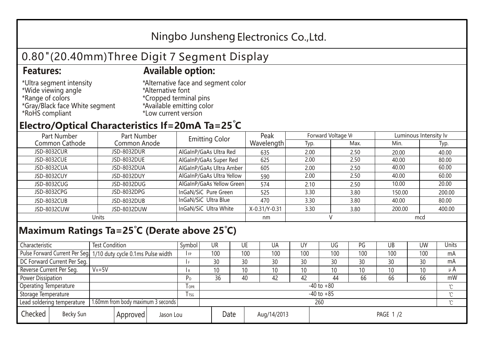## Ningbo Junsheng Electronics Co.,Ltd.

# 0.80"(20.40mm)Three Digit 7 Segment Display

### **Features: Available option:**

- \*Ultra segment intensity \*Wide viewing angle \*Range of colors \*Gray/Black face White segment \*RoHS compliant
- \*Alternative face and segment color \*Alternative font \*Cropped terminal pins \*Available emitting color \*Low current version

### **Electro/Optical Characteristics If=20mA Ta=25 C**

| Part Number<br>Part Number |              | <b>Emitting Color</b>     | Peak          | Forward Voltage VF |      | Luminous Intensity Iv |        |  |
|----------------------------|--------------|---------------------------|---------------|--------------------|------|-----------------------|--------|--|
| Common Cathode             | Common Anode |                           | Wavelength    | Typ.               | Max. | Min.                  | Typ.   |  |
| <b>JSD-8032CUR</b>         | JSD-8032DUR  | AlGaInP/GaAs Ultra Red    | 635           | 2.00               | 2.50 | 20.00                 | 40.00  |  |
| JSD-8032CUE                | JSD-8032DUE  | AlGaInP/GaAs Super Red    | 625           | 2.00               | 2.50 | 40.00                 | 80.00  |  |
| JSD-8032CUA                | JSD-8032DUA  | AlGaInP/GaAs Ultra Amber  | 605           | 2.00               | 2.50 | 40.00                 | 60.00  |  |
| JSD-8032CUY                | JSD-8032DUY  | AlGaInP/GaAs Ultra Yellow | 590           | 2.00               | 2.50 | 40.00                 | 60.00  |  |
| JSD-8032CUG                | JSD-8032DUG  | AlGaInP/GaAs Yellow Green | 574           | 2.10               | 2.50 | 10.00                 | 20.00  |  |
| JSD-8032CPG                | JSD-8032DPG  | InGaN/SiC Pure Green      | 525           | 3.30               | 3.80 | 150.00                | 200.00 |  |
| JSD-8032CUB                | JSD-8032DUB  | InGaN/SiC Ultra Blue      | 470           | 3.30               | 3.80 | 40.00                 | 80.00  |  |
| JSD-8032CUW                | JSD-8032DUW  | InGaN/SiC Ultra White     | X-0.31/Y-0.31 | 3.30               | 3.80 | 200.00                | 400.00 |  |
| Units                      |              |                           | nm            |                    |      | mcd                   |        |  |

### **Maximum Ratings Ta=25°C (Derate above 25°C)**

| Characteristic                                |  | <b>Test Condition</b>                                            |                                 |                | Symbol         | UR  |  | UE  | UA  | UY  | UG              | PG  | UB           | <b>UW</b> | Units   |
|-----------------------------------------------|--|------------------------------------------------------------------|---------------------------------|----------------|----------------|-----|--|-----|-----|-----|-----------------|-----|--------------|-----------|---------|
|                                               |  | Pulse Forward Current Per Seg. 1/10 duty cycle 0.1ms Pulse width |                                 |                | IFP            | 100 |  | 100 | 100 | 100 | 100             | 100 | 100          | 100       | mA      |
| DC Forward Current Per Seg.                   |  |                                                                  |                                 |                |                | 30  |  | 30  | 30  | 30  | 30              | 30  | 30           | 30        | mA      |
| Reverse Current Per Seg.                      |  | $V_R = 5V$                                                       |                                 |                | I R            | 10  |  | 10  | 10  | 10  | 10 <sup>°</sup> | 10  | 10           | 10        | $\mu$ A |
| <b>Power Dissipation</b>                      |  |                                                                  |                                 |                | P <sub>D</sub> | 36  |  | 40  | 42  | 42  | 44              | 66  | 66           | 66        | mW      |
| <b>Operating Temperature</b>                  |  |                                                                  | $I$ OPR                         | $-40$ to $+80$ |                |     |  |     |     |     |                 |     | $\gamma$     |           |         |
| Storage Temperature                           |  |                                                                  | I TSG                           | $-40$ to $+85$ |                |     |  |     |     |     |                 |     | $^{\circ}$ C |           |         |
| Lead soldering temperature                    |  | 1.60mm from body maximum 3 seconds                               |                                 |                |                | 260 |  |     |     |     |                 |     |              |           |         |
| Checked<br>Becky Sun<br>Approved<br>Jason Lou |  |                                                                  | Date<br>Aug/14/2013<br>PAGE 1/2 |                |                |     |  |     |     |     |                 |     |              |           |         |